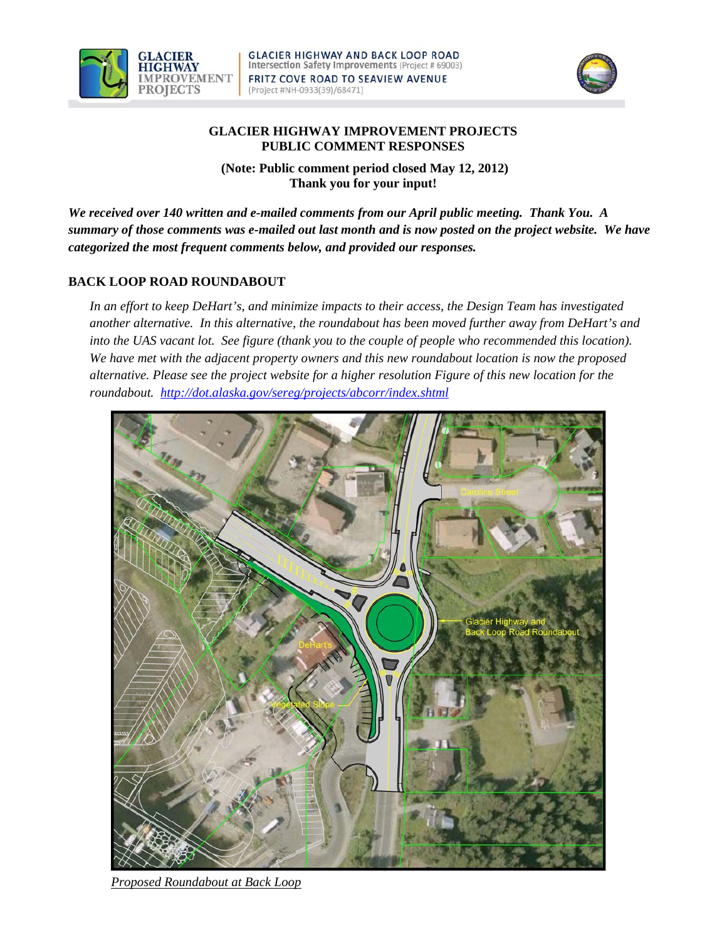



## **GLACIER HIGHWAY IMPROVEMENT PROJECTS PUBLIC COMMENT RESPONSES**

 **(Note: Public comment period closed May 12, 2012) Thank you for your input!**

*We received over 140 written and e-mailed comments from our April public meeting. Thank You. A summary of those comments was e-mailed out last month and is now posted on the project website. We have categorized the most frequent comments below, and provided our responses.* 

## **BACK LOOP ROAD ROUNDABOUT**

*In an effort to keep DeHart's, and minimize impacts to their access, the Design Team has investigated another alternative. In this alternative, the roundabout has been moved further away from DeHart's and into the UAS vacant lot. See figure (thank you to the couple of people who recommended this location). We have met with the adjacent property owners and this new roundabout location is now the proposed alternative. Please see the project website for a higher resolution Figure of this new location for the roundabout. http://dot.alaska.gov/sereg/projects/abcorr/index.shtml* 



*Proposed Roundabout at Back Loop*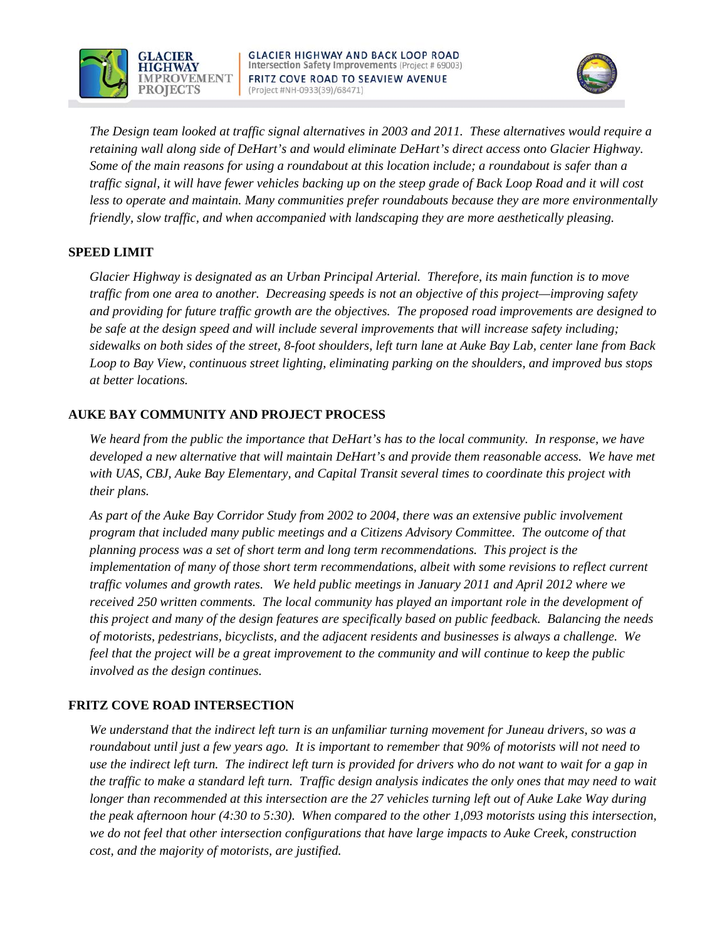



*The Design team looked at traffic signal alternatives in 2003 and 2011. These alternatives would require a retaining wall along side of DeHart's and would eliminate DeHart's direct access onto Glacier Highway. Some of the main reasons for using a roundabout at this location include; a roundabout is safer than a traffic signal, it will have fewer vehicles backing up on the steep grade of Back Loop Road and it will cost less to operate and maintain. Many communities prefer roundabouts because they are more environmentally friendly, slow traffic, and when accompanied with landscaping they are more aesthetically pleasing.* 

## **SPEED LIMIT**

*Glacier Highway is designated as an Urban Principal Arterial. Therefore, its main function is to move traffic from one area to another. Decreasing speeds is not an objective of this project—improving safety and providing for future traffic growth are the objectives. The proposed road improvements are designed to be safe at the design speed and will include several improvements that will increase safety including; sidewalks on both sides of the street, 8-foot shoulders, left turn lane at Auke Bay Lab, center lane from Back Loop to Bay View, continuous street lighting, eliminating parking on the shoulders, and improved bus stops at better locations.* 

## **AUKE BAY COMMUNITY AND PROJECT PROCESS**

*We heard from the public the importance that DeHart's has to the local community. In response, we have developed a new alternative that will maintain DeHart's and provide them reasonable access. We have met with UAS, CBJ, Auke Bay Elementary, and Capital Transit several times to coordinate this project with their plans.* 

*As part of the Auke Bay Corridor Study from 2002 to 2004, there was an extensive public involvement program that included many public meetings and a Citizens Advisory Committee. The outcome of that planning process was a set of short term and long term recommendations. This project is the implementation of many of those short term recommendations, albeit with some revisions to reflect current traffic volumes and growth rates. We held public meetings in January 2011 and April 2012 where we received 250 written comments. The local community has played an important role in the development of this project and many of the design features are specifically based on public feedback. Balancing the needs of motorists, pedestrians, bicyclists, and the adjacent residents and businesses is always a challenge. We feel that the project will be a great improvement to the community and will continue to keep the public involved as the design continues.* 

# **FRITZ COVE ROAD INTERSECTION**

*We understand that the indirect left turn is an unfamiliar turning movement for Juneau drivers, so was a roundabout until just a few years ago. It is important to remember that 90% of motorists will not need to use the indirect left turn. The indirect left turn is provided for drivers who do not want to wait for a gap in the traffic to make a standard left turn. Traffic design analysis indicates the only ones that may need to wait longer than recommended at this intersection are the 27 vehicles turning left out of Auke Lake Way during the peak afternoon hour (4:30 to 5:30). When compared to the other 1,093 motorists using this intersection, we do not feel that other intersection configurations that have large impacts to Auke Creek, construction cost, and the majority of motorists, are justified.*